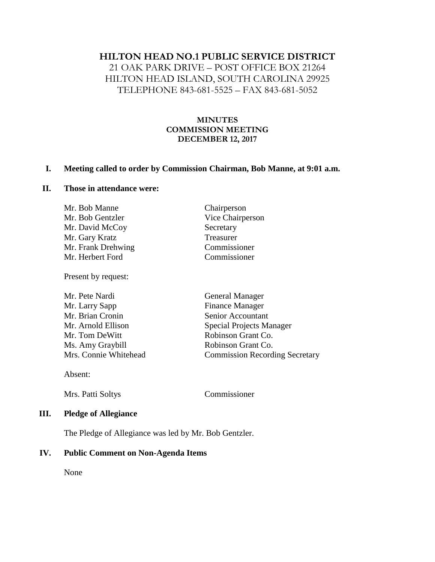# **HILTON HEAD NO.1 PUBLIC SERVICE DISTRICT**

21 OAK PARK DRIVE – POST OFFICE BOX 21264 HILTON HEAD ISLAND, SOUTH CAROLINA 29925 TELEPHONE 843-681-5525 – FAX 843-681-5052

#### **MINUTES COMMISSION MEETING DECEMBER 12, 2017**

## **I. Meeting called to order by Commission Chairman, Bob Manne, at 9:01 a.m.**

## **II. Those in attendance were:**

| Mr. Bob Manne      | Chairperson      |
|--------------------|------------------|
| Mr. Bob Gentzler   | Vice Chairperson |
| Mr. David McCoy    | Secretary        |
| Mr. Gary Kratz     | Treasurer        |
| Mr. Frank Drehwing | Commissioner     |
| Mr. Herbert Ford   | Commissioner     |
|                    |                  |

Present by request:

| Mr. Pete Nardi        | <b>General Manager</b>                |
|-----------------------|---------------------------------------|
| Mr. Larry Sapp        | <b>Finance Manager</b>                |
| Mr. Brian Cronin      | Senior Accountant                     |
| Mr. Arnold Ellison    | <b>Special Projects Manager</b>       |
| Mr. Tom DeWitt        | Robinson Grant Co.                    |
| Ms. Amy Graybill      | Robinson Grant Co.                    |
| Mrs. Connie Whitehead | <b>Commission Recording Secretary</b> |
|                       |                                       |

Absent:

Mrs. Patti Soltys Commissioner

#### **III. Pledge of Allegiance**

The Pledge of Allegiance was led by Mr. Bob Gentzler.

#### **IV. Public Comment on Non-Agenda Items**

None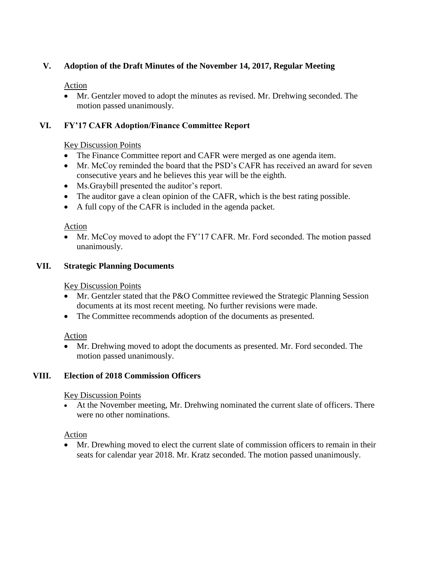# **V. Adoption of the Draft Minutes of the November 14, 2017, Regular Meeting**

### Action

• Mr. Gentzler moved to adopt the minutes as revised. Mr. Drehwing seconded. The motion passed unanimously.

## **VI. FY'17 CAFR Adoption/Finance Committee Report**

## Key Discussion Points

- The Finance Committee report and CAFR were merged as one agenda item.
- Mr. McCoy reminded the board that the PSD's CAFR has received an award for seven consecutive years and he believes this year will be the eighth.
- Ms. Graybill presented the auditor's report.
- The auditor gave a clean opinion of the CAFR, which is the best rating possible.
- A full copy of the CAFR is included in the agenda packet.

### Action

• Mr. McCoy moved to adopt the FY'17 CAFR. Mr. Ford seconded. The motion passed unanimously.

### **VII. Strategic Planning Documents**

### Key Discussion Points

- Mr. Gentzler stated that the P&O Committee reviewed the Strategic Planning Session documents at its most recent meeting. No further revisions were made.
- The Committee recommends adoption of the documents as presented.

## Action

• Mr. Drehwing moved to adopt the documents as presented. Mr. Ford seconded. The motion passed unanimously.

## **VIII. Election of 2018 Commission Officers**

#### Key Discussion Points

• At the November meeting, Mr. Drehwing nominated the current slate of officers. There were no other nominations.

#### Action

• Mr. Drewhing moved to elect the current slate of commission officers to remain in their seats for calendar year 2018. Mr. Kratz seconded. The motion passed unanimously.